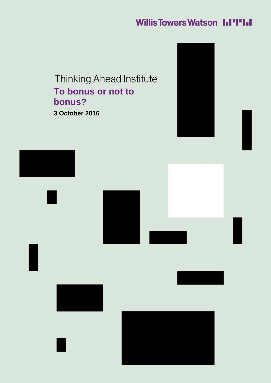# **Willis Towers Watson I.I'I'I.I**

**Thinking Ahead Institute To bonus or not to bonus? 3 October 2016**

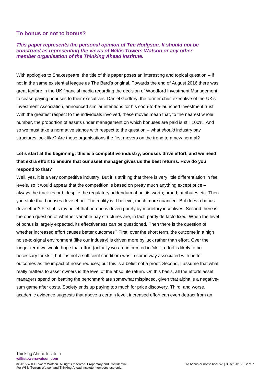#### **To bonus or not to bonus?**

#### *This paper represents the personal opinion of Tim Hodgson. It should not be construed as representing the views of Willis Towers Watson or any other member organisation of the Thinking Ahead Institute.*

With apologies to Shakespeare, the title of this paper poses an interesting and topical question – if not in the same existential league as The Bard's original. Towards the end of August 2016 there was great fanfare in the UK financial media regarding the decision of Woodford Investment Management to cease paying bonuses to their executives. Daniel Godfrey, the former chief executive of the UK's Investment Association, announced similar intentions for his soon-to-be-launched investment trust. With the greatest respect to the individuals involved, these moves mean that, to the nearest whole number, the proportion of assets under management on which bonuses are paid is still 100%. And so we must take a normative stance with respect to the question – what *should* industry pay structures look like? Are these organisations the first movers on the trend to a new normal?

## **Let's start at the beginning: this is a competitive industry, bonuses drive effort, and we need that extra effort to ensure that our asset manager gives us the best returns. How do you respond to that?**

Well, yes, it is a very competitive industry. But it is striking that there is very little differentiation in fee levels, so it would appear that the competition is based on pretty much anything except price – always the track record, despite the regulatory addendum about its worth; brand; attributes etc. Then you state that bonuses drive effort. The reality is, I believe, much more nuanced. But does a bonus drive effort? First, it is my belief that no-one is driven purely by monetary incentives. Second there is the open question of whether variable pay structures are, in fact, partly de facto fixed. When the level of bonus is largely expected, its effectiveness can be questioned. Then there is the question of whether increased effort causes better outcomes? First, over the short term, the outcome in a high noise-to-signal environment (like our industry) is driven more by luck rather than effort. Over the longer term we would hope that effort (actually we are interested in 'skill'; effort is likely to be necessary for skill, but it is not a sufficient condition) was in some way associated with better outcomes as the impact of noise reduces; but this is a belief not a proof. Second, I assume that what really matters to asset owners is the level of the absolute return. On this basis, all the efforts asset managers spend on beating the benchmark are somewhat misplaced, given that alpha is a negativesum game after costs. Society ends up paying too much for price discovery. Third, and worse, academic evidence suggests that above a certain level, increased effort can even detract from an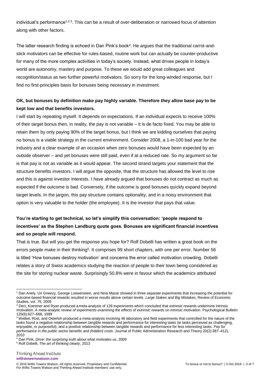individual's performance<sup>1,2,3</sup>. This can be a result of over-deliberation or narrowed focus of attention along with other factors.

The latter research finding is echoed in Dan Pink's book<sup>4</sup> . He argues that the traditional carrot-andstick motivators can be effective for rules-based, routine work but can actually be counter-productive for many of the more complex activities in today's society. Instead, what drives people in today's world are autonomy, mastery and purpose. To these we would add great colleagues and recognition/status as two further powerful motivators. So sorry for the long-winded response, but I find no first-principles basis for bonuses being necessary in investment.

#### **OK, but bonuses by definition make pay highly variable. Therefore they allow base pay to be kept low and that benefits investors.**

I will start by repeating myself. It depends on expectations. If an individual expects to receive 100% of their target bonus then, in reality, the pay is not variable – it is de facto fixed. You may be able to retain them by only paying 90% of the target bonus, but I think we are kidding ourselves that paying no bonus is a viable strategy in the current environment. Consider 2008, a 1-in-100 bad year for the industry and a clear example of an occasion when zero bonuses would have been expected by an outside observer – and yet bonuses were still paid, even if at a reduced rate. So my argument so far is that pay is not as variable as it would appear. The second strand targets your statement that the structure benefits investors. I will argue the opposite, that the structure has allowed the level to rise and this is against investor interests. I have already argued that bonuses do not contract as much as expected if the outcome is bad. Conversely, if the outcome is good bonuses quickly expand beyond target levels. In the jargon, this pay structure contains optionality, and in a noisy environment that option is very valuable to the holder (the employee). It is the investor that pays that value.

# **You're starting to get technical, so let's simplify this conversation: 'people respond to incentives' as the Stephen Landburg quote goes. Bonuses are significant financial incentives and so people will respond.**

That is true. But will you get the response you hope for? Rolf Dobelli has written a great book on the errors people make in their thinking<sup>5</sup>. It comprises 99 short chapters, with one per error. Number 56 is titled 'How bonuses destroy motivation' and concerns the error called motivation crowding. Dobelli relates a story of Swiss academics studying the reaction of people to their town being considered as the site for storing nuclear waste. Surprisingly 50.8% were in favour which the academics attributed

1

<sup>1</sup> Dan Ariely, Uri Gneezy, George Loewenstein, and Nina Mazar showed in three separate experiments that increasing the potential for outcome-based financial rewards resulted in worse results above certain levels. *Large Stakes and Big Mistakes*, Review of Economic Studies, vol. 76, 2009

<sup>2</sup> Deci, Koestner and Ryan produced ameta-analysis of 128 experiments which concluded that extrinsic rewards undermine intrinsic motivation. *A meta-analytic review of experiments examining the effects of extrinsic rewards on intrinsic motivation*. Psychological Bulletin 125(6):627–668, 1999

<sup>3</sup> Weibel, Rost, and Osterloh produced a meta-analysis involving 46 laboratory and field experiments that controlled for the nature of the tasks found a negative relationship between tangible rewards and performance for interesting tasks (ie tasks perceived as challenging, enjoyable, or purposeful), and a positive relationship between tangible rewards and performance for less interesting tasks. *Pay for performance in the public sector benefits and (hidden) costs*. Journal of Public Administration Research and Theory 20(2):387–412), 2010

<sup>4</sup> Dan Pink, *Drive: the surprising truth about what motivates us*, 2009

<sup>5</sup> Rolf Dobelli, *The art of thinking clearly,* 2013

<sup>© 2016</sup> Willis Towers Watson. All rights reserved. Proprietary and Confidential. To bonus or not to bonus? | 3 Oct 2016 | 3 of 7 For Willis Towers Watson and Thinking Ahead Institute members' use only.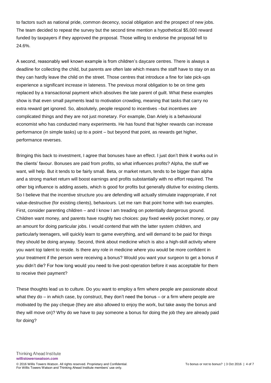to factors such as national pride, common decency, social obligation and the prospect of new jobs. The team decided to repeat the survey but the second time mention a hypothetical \$5,000 reward funded by taxpayers if they approved the proposal. Those willing to endorse the proposal fell to 24.6%.

A second, reasonably well known example is from children's daycare centres. There is always a deadline for collecting the child, but parents are often late which means the staff have to stay on as they can hardly leave the child on the street. Those centres that introduce a fine for late pick-ups experience a significant increase in lateness. The previous moral obligation to be on time gets replaced by a transactional payment which absolves the late parent of guilt. What these examples show is that even small payments lead to motivation crowding, meaning that tasks that carry no extra reward get ignored. So, absolutely, people respond to incentives –but incentives are complicated things and they are not just monetary. For example, Dan Ariely is a behavioural economist who has conducted many experiments. He has found that higher rewards can increase performance (in simple tasks) up to a point – but beyond that point, as rewards get higher, performance reverses.

Bringing this back to investment, I agree that bonuses have an effect. I just don't think it works out in the clients' favour. Bonuses are paid from profits, so what influences profits? Alpha, the stuff we want, will help. But it tends to be fairly small. Beta, or market return, tends to be bigger than alpha and a strong market return will boost earnings and profits substantially with no effort required. The other big influence is adding assets, which is good for profits but generally dilutive for existing clients. So I believe that the incentive structure you are defending will actually stimulate inappropriate, if not value-destructive (for existing clients), behaviours. Let me ram that point home with two examples. First, consider parenting children – and I know I am treading on potentially dangerous ground. Children want money, and parents have roughly two choices: pay fixed weekly pocket money, or pay an amount for doing particular jobs. I would contend that with the latter system children, and particularly teenagers, will quickly learn to game everything, and will demand to be paid for things they should be doing anyway. Second, think about medicine which is also a high-skill activity where you want top talent to reside. Is there any role in medicine where you would be more confident in your treatment if the person were receiving a bonus? Would you want your surgeon to get a bonus if you didn't die? For how long would you need to live post-operation before it was acceptable for them to receive their payment?

These thoughts lead us to culture. Do you want to employ a firm where people are passionate about what they do – in which case, by construct, they don't need the bonus – or a firm where people are motivated by the pay cheque (they are also allowed to enjoy the work, but take away the bonus and they will move on)? Why do we have to pay someone a bonus for doing the job they are already paid for doing?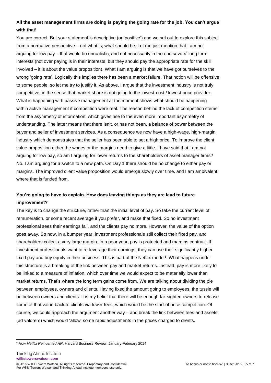## **All the asset management firms are doing is paying the going rate for the job. You can't argue with that!**

You are correct. But your statement is descriptive (or 'positive') and we set out to explore this subject from a normative perspective – not what is; what should be. Let me just mention that I am not arguing for low pay – that would be unrealistic, and not necessarily in the end savers' long term interests (not over paying is in their interests, but they should pay the appropriate rate for the skill involved – it is about the value proposition). What I am arguing is that we have got ourselves to the wrong 'going rate'. Logically this implies there has been a market failure. That notion will be offensive to some people, so let me try to justify it. As above, I argue that the investment industry is not truly competitive, in the sense that market share is not going to the lowest-cost / lowest-price provider. What is happening with passive management at the moment shows what should be happening within active management if competition were real. The reason behind the lack of competition stems from the asymmetry of information, which gives rise to the even more important asymmetry of understanding. The latter means that there isn't, or has not been, a balance of power between the buyer and seller of investment services. As a consequence we now have a high-wage, high-margin industry which demonstrates that the seller has been able to set a high price. To improve the client value proposition either the wages or the margins need to give a little. I have said that I am not arguing for low pay, so am I arguing for lower returns to the shareholders of asset manager firms? No. I am arguing for a switch to a new path. On Day 1 there should be no change to either pay or margins. The improved client value proposition would emerge slowly over time, and I am ambivalent where that is funded from.

## **You're going to have to explain. How does leaving things as they are lead to future improvement?**

The key is to change the structure, rather than the initial level of pay. So take the current level of remuneration, or some recent average if you prefer, and make that fixed. So no investment professional sees their earnings fall, and the clients pay no more. However, the value of the option goes away. So now, in a bumper year, investment professionals still collect their fixed pay, and shareholders collect a very large margin. In a poor year, pay is protected and margins contract. If investment professionals want to re-leverage their earnings, they can use their significantly higher fixed pay and buy equity in their business. This is part of the Netflix model<sup>6</sup>. What happens under this structure is a breaking of the link between pay and market returns. Instead, pay is more likely to be linked to a measure of inflation, which over time we would expect to be materially lower than market returns. That's where the long term gains come from. We are talking about dividing the pie between employees, owners and clients. Having fixed the amount going to employees, the tussle will be between owners and clients. It is my belief that there will be enough far-sighted owners to release some of that value back to clients via lower fees, which would be the start of price competition. Of course, we could approach the argument another way – and break the link between fees and assets (ad valorem) which would 'allow' some rapid adjustments in the prices charged to clients.

**Thinking Ahead Institute willistowerswatson.com** © 2016 Willis Towers Watson. All rights reserved. Proprietary and Confidential. To bonus or not to bonus? | 3 Oct 2016 | 5 of 7 For Willis Towers Watson and Thinking Ahead Institute members' use only.

<sup>-</sup><sup>6</sup> *How Netflix Reinvented HR*, Harvard Business Review, January-February 2014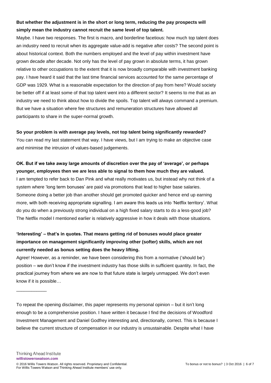## **But whether the adjustment is in the short or long term, reducing the pay prospects will simply mean the industry cannot recruit the same level of top talent.**

Maybe. I have two responses. The first is macro, and borderline facetious: how much top talent does an industry need to recruit when its aggregate value-add is negative after costs? The second point is about historical context. Both the numbers employed and the level of pay within investment have grown decade after decade. Not only has the level of pay grown in absolute terms, it has grown relative to other occupations to the extent that it is now broadly comparable with investment banking pay. I have heard it said that the last time financial services accounted for the same percentage of GDP was 1929. What is a reasonable expectation for the direction of pay from here? Would society be better off if at least some of that top talent went into a different sector? It seems to me that as an industry we need to think about how to divide the spoils. Top talent will always command a premium. But we have a situation where fee structures and remuneration structures have allowed all participants to share in the super-normal growth.

#### **So your problem is with average pay levels, not top talent being significantly rewarded?**

You can read my last statement that way. I have views, but I am trying to make an objective case and minimise the intrusion of values-based judgements.

#### **OK. But if we take away large amounts of discretion over the pay of 'average', or perhaps younger, employees then we are less able to signal to them how much they are valued.**

I am tempted to refer back to Dan Pink and what really motivates us, but instead why not think of a system where 'long term bonuses' are paid via promotions that lead to higher base salaries. Someone doing a better job than another should get promoted quicker and hence end up earning more, with both receiving appropriate signalling. I am aware this leads us into 'Netflix territory'. What do you do when a previously strong individual on a high fixed salary starts to do a less-good job? The Netflix model I mentioned earlier is relatively aggressive in how it deals with those situations.

# **'Interesting' – that's in quotes. That means getting rid of bonuses would place greater importance on management significantly improving other (softer) skills, which are not currently needed as bonus setting does the heavy lifting.**

Agree! However, as a reminder, we have been considering this from a normative ('should be') position – we don't know if the investment industry has those skills in sufficient quantity. In fact, the practical journey from where we are now to that future state is largely unmapped. We don't even know if it is possible…

To repeat the opening disclaimer, this paper represents my personal opinion – but it isn't long enough to be a comprehensive position. I have written it because I find the decisions of Woodford Investment Management and Daniel Godfrey interesting and, directionally, correct. This is because I believe the current structure of compensation in our industry is unsustainable. Despite what I have

\_\_\_\_\_\_\_\_\_\_\_\_